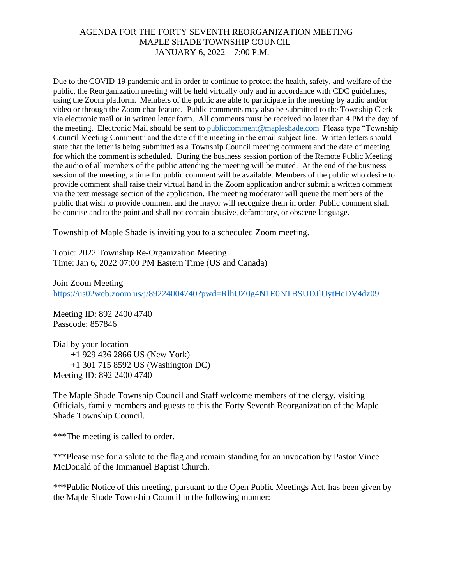Due to the COVID-19 pandemic and in order to continue to protect the health, safety, and welfare of the public, the Reorganization meeting will be held virtually only and in accordance with CDC guidelines, using the Zoom platform. Members of the public are able to participate in the meeting by audio and/or video or through the Zoom chat feature. Public comments may also be submitted to the Township Clerk via electronic mail or in written letter form. All comments must be received no later than 4 PM the day of the meeting. Electronic Mail should be sent to [publiccomment@mapleshade.com](mailto:publiccomment@mapleshade.com) Please type "Township Council Meeting Comment" and the date of the meeting in the email subject line. Written letters should state that the letter is being submitted as a Township Council meeting comment and the date of meeting for which the comment is scheduled. During the business session portion of the Remote Public Meeting the audio of all members of the public attending the meeting will be muted. At the end of the business session of the meeting, a time for public comment will be available. Members of the public who desire to provide comment shall raise their virtual hand in the Zoom application and/or submit a written comment via the text message section of the application. The meeting moderator will queue the members of the public that wish to provide comment and the mayor will recognize them in order. Public comment shall be concise and to the point and shall not contain abusive, defamatory, or obscene language.

Township of Maple Shade is inviting you to a scheduled Zoom meeting.

Topic: 2022 Township Re-Organization Meeting Time: Jan 6, 2022 07:00 PM Eastern Time (US and Canada)

Join Zoom Meeting <https://us02web.zoom.us/j/89224004740?pwd=RlhUZ0g4N1E0NTBSUDJlUytHeDV4dz09>

Meeting ID: 892 2400 4740 Passcode: 857846

Dial by your location +1 929 436 2866 US (New York) +1 301 715 8592 US (Washington DC) Meeting ID: 892 2400 4740

The Maple Shade Township Council and Staff welcome members of the clergy, visiting Officials, family members and guests to this the Forty Seventh Reorganization of the Maple Shade Township Council.

\*\*\*The meeting is called to order.

\*\*\*Please rise for a salute to the flag and remain standing for an invocation by Pastor Vince McDonald of the Immanuel Baptist Church.

\*\*\*Public Notice of this meeting, pursuant to the Open Public Meetings Act, has been given by the Maple Shade Township Council in the following manner: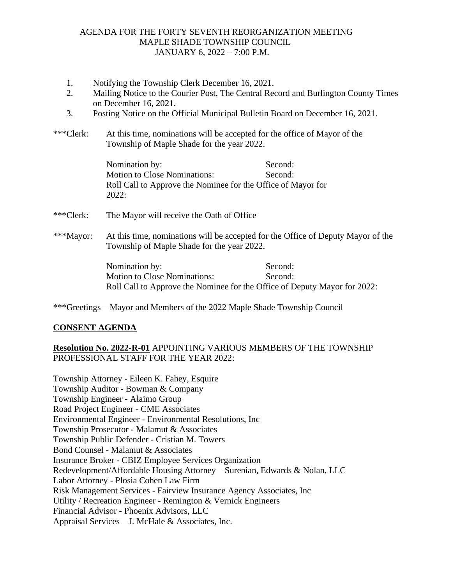- 1. Notifying the Township Clerk December 16, 2021.
- 2. Mailing Notice to the Courier Post, The Central Record and Burlington County Times on December 16, 2021.
- 3. Posting Notice on the Official Municipal Bulletin Board on December 16, 2021.
- \*\*\*Clerk: At this time, nominations will be accepted for the office of Mayor of the Township of Maple Shade for the year 2022.

Nomination by: Second: Motion to Close Nominations: Second: Roll Call to Approve the Nominee for the Office of Mayor for 2022:

- \*\*\*Clerk: The Mayor will receive the Oath of Office
- \*\*\*Mayor: At this time, nominations will be accepted for the Office of Deputy Mayor of the Township of Maple Shade for the year 2022.

Nomination by: Second: Motion to Close Nominations: Second: Roll Call to Approve the Nominee for the Office of Deputy Mayor for 2022:

\*\*\*Greetings – Mayor and Members of the 2022 Maple Shade Township Council

## **CONSENT AGENDA**

# **Resolution No. 2022-R-01** APPOINTING VARIOUS MEMBERS OF THE TOWNSHIP PROFESSIONAL STAFF FOR THE YEAR 2022:

Township Attorney - Eileen K. Fahey, Esquire Township Auditor - Bowman & Company Township Engineer - Alaimo Group Road Project Engineer - CME Associates Environmental Engineer - Environmental Resolutions, Inc Township Prosecutor - Malamut & Associates Township Public Defender - Cristian M. Towers Bond Counsel - Malamut & Associates Insurance Broker - CBIZ Employee Services Organization Redevelopment/Affordable Housing Attorney – Surenian, Edwards & Nolan, LLC Labor Attorney - Plosia Cohen Law Firm Risk Management Services - Fairview Insurance Agency Associates, Inc Utility / Recreation Engineer - Remington & Vernick Engineers Financial Advisor - Phoenix Advisors, LLC Appraisal Services – J. McHale & Associates, Inc.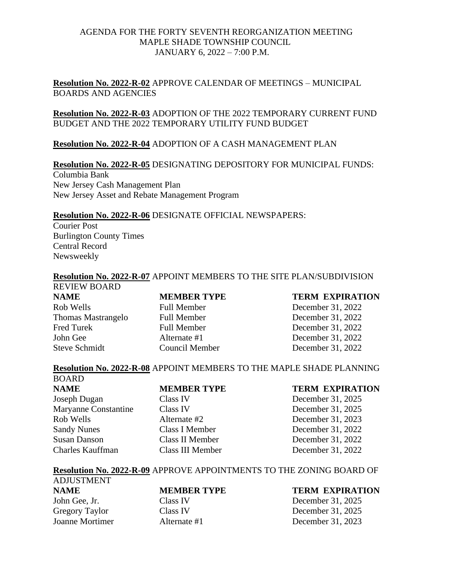**Resolution No. 2022-R-02** APPROVE CALENDAR OF MEETINGS – MUNICIPAL BOARDS AND AGENCIES

**Resolution No. 2022-R-03** ADOPTION OF THE 2022 TEMPORARY CURRENT FUND BUDGET AND THE 2022 TEMPORARY UTILITY FUND BUDGET

### **Resolution No. 2022-R-04** ADOPTION OF A CASH MANAGEMENT PLAN

### **Resolution No. 2022-R-05** DESIGNATING DEPOSITORY FOR MUNICIPAL FUNDS:

Columbia Bank New Jersey Cash Management Plan New Jersey Asset and Rebate Management Program

#### **Resolution No. 2022-R-06** DESIGNATE OFFICIAL NEWSPAPERS:

Courier Post Burlington County Times Central Record Newsweekly

BOARD

### **Resolution No. 2022-R-07** APPOINT MEMBERS TO THE SITE PLAN/SUBDIVISION

REVIEW BOARD **NAME MEMBER TYPE TERM EXPIRATION**  Rob Wells Full Member December 31, 2022 Thomas Mastrangelo Full Member December 31, 2022 Fred Turek Full Member December 31, 2022 John Gee Alternate #1 December 31, 2022 Steve Schmidt Council Member December 31, 2022

### **Resolution No. 2022-R-08** APPOINT MEMBERS TO THE MAPLE SHADE PLANNING

| <b>NAME</b>                 | <b>MEMBER TYPE</b> | <b>TERM EXPIRATION</b> |
|-----------------------------|--------------------|------------------------|
| Joseph Dugan                | Class IV           | December 31, 2025      |
| <b>Maryanne Constantine</b> | Class IV           | December 31, 2025      |
| Rob Wells                   | Alternate #2       | December 31, 2023      |
| <b>Sandy Nunes</b>          | Class I Member     | December 31, 2022      |
| Susan Danson                | Class II Member    | December 31, 2022      |
| Charles Kauffman            | Class III Member   | December 31, 2022      |

#### **Resolution No. 2022-R-09** APPROVE APPOINTMENTS TO THE ZONING BOARD OF

| <b>ADJUSTMENT</b>     |                    |                        |
|-----------------------|--------------------|------------------------|
| <b>NAME</b>           | <b>MEMBER TYPE</b> | <b>TERM EXPIRATION</b> |
| John Gee, Jr.         | Class IV           | December 31, 2025      |
| <b>Gregory Taylor</b> | Class IV           | December 31, 2025      |
| Joanne Mortimer       | Alternate #1       | December 31, 2023      |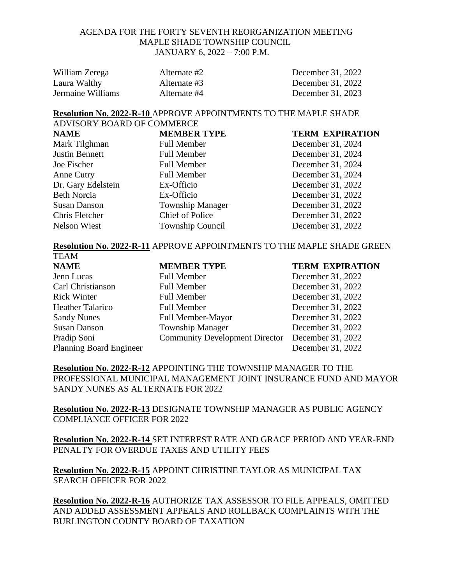| William Zerega    | Alternate #2 | December 31, 2022 |
|-------------------|--------------|-------------------|
| Laura Walthy      | Alternate #3 | December 31, 2022 |
| Jermaine Williams | Alternate #4 | December 31, 2023 |

**Resolution No. 2022-R-10** APPROVE APPOINTMENTS TO THE MAPLE SHADE ADVISORY BOARD OF COMMERCE

| <b>NAME</b>           | <b>MEMBER TYPE</b>      | <b>TERM EXPIRATION</b> |
|-----------------------|-------------------------|------------------------|
| Mark Tilghman         | <b>Full Member</b>      | December 31, 2024      |
| <b>Justin Bennett</b> | <b>Full Member</b>      | December 31, 2024      |
| Joe Fischer           | <b>Full Member</b>      | December 31, 2024      |
| Anne Cutry            | <b>Full Member</b>      | December 31, 2024      |
| Dr. Gary Edelstein    | Ex-Officio              | December 31, 2022      |
| <b>Beth Norcia</b>    | Ex-Officio              | December 31, 2022      |
| <b>Susan Danson</b>   | <b>Township Manager</b> | December 31, 2022      |
| Chris Fletcher        | <b>Chief of Police</b>  | December 31, 2022      |
| <b>Nelson Wiest</b>   | <b>Township Council</b> | December 31, 2022      |
|                       |                         |                        |

### **Resolution No. 2022-R-11** APPROVE APPOINTMENTS TO THE MAPLE SHADE GREEN

| <b>TEAM</b>                    |                                       |                        |
|--------------------------------|---------------------------------------|------------------------|
| <b>NAME</b>                    | <b>MEMBER TYPE</b>                    | <b>TERM EXPIRATION</b> |
| Jenn Lucas                     | <b>Full Member</b>                    | December 31, 2022      |
| Carl Christianson              | <b>Full Member</b>                    | December 31, 2022      |
| <b>Rick Winter</b>             | <b>Full Member</b>                    | December 31, 2022      |
| <b>Heather Talarico</b>        | <b>Full Member</b>                    | December 31, 2022      |
| <b>Sandy Nunes</b>             | <b>Full Member-Mayor</b>              | December 31, 2022      |
| <b>Susan Danson</b>            | <b>Township Manager</b>               | December 31, 2022      |
| Pradip Soni                    | <b>Community Development Director</b> | December 31, 2022      |
| <b>Planning Board Engineer</b> |                                       | December 31, 2022      |

**Resolution No. 2022-R-12** APPOINTING THE TOWNSHIP MANAGER TO THE PROFESSIONAL MUNICIPAL MANAGEMENT JOINT INSURANCE FUND AND MAYOR SANDY NUNES AS ALTERNATE FOR 2022

**Resolution No. 2022-R-13** DESIGNATE TOWNSHIP MANAGER AS PUBLIC AGENCY COMPLIANCE OFFICER FOR 2022

**Resolution No. 2022-R-14** SET INTEREST RATE AND GRACE PERIOD AND YEAR-END PENALTY FOR OVERDUE TAXES AND UTILITY FEES

**Resolution No. 2022-R-15** APPOINT CHRISTINE TAYLOR AS MUNICIPAL TAX SEARCH OFFICER FOR 2022

**Resolution No. 2022-R-16** AUTHORIZE TAX ASSESSOR TO FILE APPEALS, OMITTED AND ADDED ASSESSMENT APPEALS AND ROLLBACK COMPLAINTS WITH THE BURLINGTON COUNTY BOARD OF TAXATION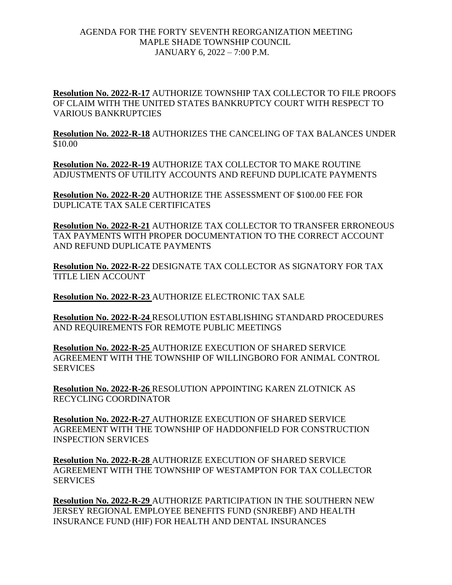**Resolution No. 2022-R-17** AUTHORIZE TOWNSHIP TAX COLLECTOR TO FILE PROOFS OF CLAIM WITH THE UNITED STATES BANKRUPTCY COURT WITH RESPECT TO VARIOUS BANKRUPTCIES

**Resolution No. 2022-R-18** AUTHORIZES THE CANCELING OF TAX BALANCES UNDER \$10.00

**Resolution No. 2022-R-19** AUTHORIZE TAX COLLECTOR TO MAKE ROUTINE ADJUSTMENTS OF UTILITY ACCOUNTS AND REFUND DUPLICATE PAYMENTS

**Resolution No. 2022-R-20** AUTHORIZE THE ASSESSMENT OF \$100.00 FEE FOR DUPLICATE TAX SALE CERTIFICATES

**Resolution No. 2022-R-21** AUTHORIZE TAX COLLECTOR TO TRANSFER ERRONEOUS TAX PAYMENTS WITH PROPER DOCUMENTATION TO THE CORRECT ACCOUNT AND REFUND DUPLICATE PAYMENTS

**Resolution No. 2022-R-22** DESIGNATE TAX COLLECTOR AS SIGNATORY FOR TAX TITLE LIEN ACCOUNT

**Resolution No. 2022-R-23** AUTHORIZE ELECTRONIC TAX SALE

**Resolution No. 2022-R-24** RESOLUTION ESTABLISHING STANDARD PROCEDURES AND REQUIREMENTS FOR REMOTE PUBLIC MEETINGS

**Resolution No. 2022-R-25** AUTHORIZE EXECUTION OF SHARED SERVICE AGREEMENT WITH THE TOWNSHIP OF WILLINGBORO FOR ANIMAL CONTROL SERVICES

**Resolution No. 2022-R-26** RESOLUTION APPOINTING KAREN ZLOTNICK AS RECYCLING COORDINATOR

**Resolution No. 2022-R-27** AUTHORIZE EXECUTION OF SHARED SERVICE AGREEMENT WITH THE TOWNSHIP OF HADDONFIELD FOR CONSTRUCTION INSPECTION SERVICES

**Resolution No. 2022-R-28** AUTHORIZE EXECUTION OF SHARED SERVICE AGREEMENT WITH THE TOWNSHIP OF WESTAMPTON FOR TAX COLLECTOR **SERVICES** 

**Resolution No. 2022-R-29** AUTHORIZE PARTICIPATION IN THE SOUTHERN NEW JERSEY REGIONAL EMPLOYEE BENEFITS FUND (SNJREBF) AND HEALTH INSURANCE FUND (HIF) FOR HEALTH AND DENTAL INSURANCES